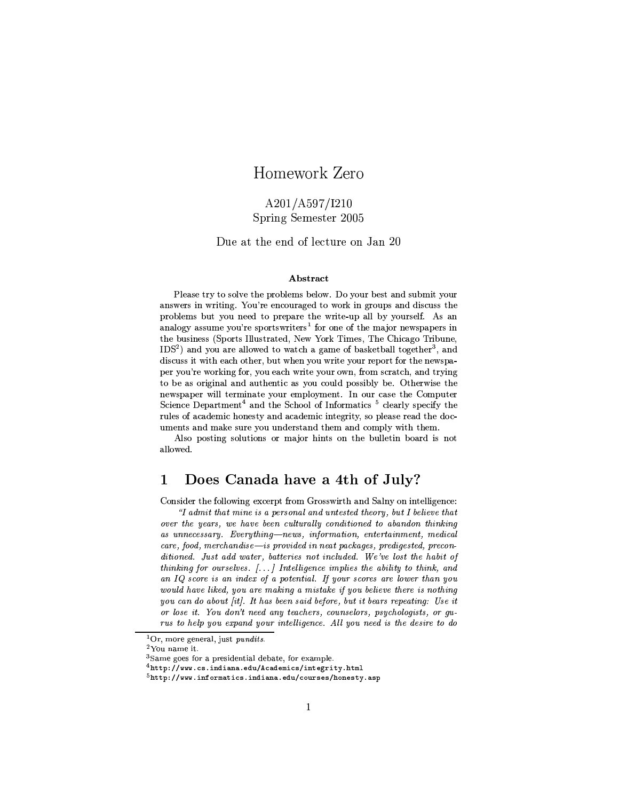# Homework Zero

# A201/A597/I210 Spring Semester 2005

Due at the end of lecture on Jan 20

# Abstract

Please try to solve the problems below. Do your best and submit your answers in writing. You're encouraged to work in groups and discuss the problems but you need to prepare the write-up all by yourself. As an analogy assume you're sportswriters<sup>1</sup> for one of the major newspapers in the business (Sports Illustrated, New York Times, The Chicago Tribune,  $IDS<sup>2</sup>$ ) and you are allowed to watch a game of basketball together<sup>3</sup>, and discuss it with each other, but when you write your report for the newspaper you're working for, you each write your own, from scratch, and trying to be as original and authentic as you could possibly be. Otherwise the newspaper will terminate your employment. In our case the Computer Science Department<sup>4</sup> and the School of Informatics<sup>5</sup> clearly specify the rules of academic honesty and academic integrity, so please read the documents and make sure you understand them and comply with them.

Also posting solutions or major hints on the bulletin board is not allowed.

### Does Canada have a 4th of July? 1

Consider the following excerpt from Grosswirth and Salny on intelligence:

"I admit that mine is a personal and untested theory, but I believe that over the years, we have been culturally conditioned to abandon thinking as unnecessary. Everything-news, information, entertainment, medical care, food, merchandise-is provided in neat packages, predigested, preconditioned. Just add water, batteries not included. We've lost the habit of thinking for ourselves. [...] Intelligence implies the ability to think, and an IQ score is an index of a potential. If your scores are lower than you would have liked, you are making a mistake if you believe there is nothing you can do about [it]. It has been said before, but it bears repeating: Use it or lose it. You don't need any teachers, counselors, psychologists, or gurus to help you expand your intelligence. All you need is the desire to do

 ${}^{1}$ Or, more general, just pundits.

<sup>&</sup>lt;sup>2</sup>You name it.

<sup>&</sup>lt;sup>3</sup>Same goes for a presidential debate, for example.

 $4$ http://www.cs.indiana.edu/Academics/integrity.html

 $5$ http://www.informatics.indiana.edu/courses/honesty.asp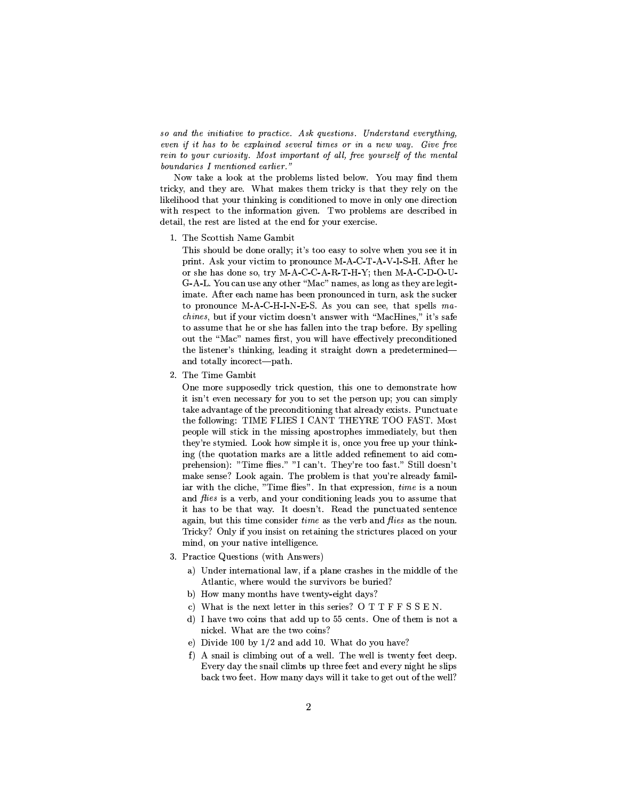so and the initiative to practice. Ask questions. Understand everything, even if it has to be explained several times or in a new way. Give free rein to your curiosity. Most important of all, free yourself of the mental boundaries I mentioned earlier."

Now take a look at the problems listed below. You may find them tricky, and they are. What makes them tricky is that they rely on the likelihood that your thinking is conditioned to move in only one direction with respect to the information given. Two problems are described in detail, the rest are listed at the end for your exercise.

1. The Scottish Name Gambit

This should be done orally; it's too easy to solve when you see it in print. Ask your victim to pronounce M-A-C-T-A-V-I-S-H. After he or she has done so, try M-A-C-C-A-R-T-H-Y; then M-A-C-D-O-U-G-A-L. You can use any other "Mac" names, as long as they are legitimate. After each name has been pronounced in turn, ask the sucker to pronounce M-A-C-H-I-N-E-S. As you can see, that spells ma*chines*, but if your victim doesn't answer with "MacHines," it's safe to assume that he or she has fallen into the trap before. By spelling out the "Mac" names first, you will have effectively preconditioned the listener's thinking, leading it straight down a predeterminedand totally incorect-path.

2. The Time Gambit

One more supposedly trick question, this one to demonstrate how it isn't even necessary for you to set the person up; you can simply take advantage of the preconditioning that already exists. Punctuate the following: TIME FLIES I CANT THEYRE TOO FAST. Most people will stick in the missing apostrophes immediately, but then they're stymied. Look how simple it is, once you free up your thinking (the quotation marks are a little added refinement to aid comprehension): "Time flies." "I can't. They're too fast." Still doesn't make sense? Look again. The problem is that you're already familiar with the cliche, "Time flies". In that expression, time is a noun and flies is a verb, and your conditioning leads you to assume that it has to be that way. It doesn't. Read the punctuated sentence again, but this time consider *time* as the verb and *flies* as the noun. Tricky? Only if you insist on retaining the strictures placed on your mind, on your native intelligence.

- 3. Practice Questions (with Answers)
	- a) Under international law, if a plane crashes in the middle of the Atlantic, where would the survivors be buried?
	- b) How many months have twenty-eight days?
	- c) What is the next letter in this series? OTTFFSSEN.
	- d) I have two coins that add up to 55 cents. One of them is not a nickel. What are the two coins?
	- e) Divide 100 by 1/2 and add 10. What do you have?
	- f) A snail is climbing out of a well. The well is twenty feet deep. Every day the snail climbs up three feet and every night he slips back two feet. How many days will it take to get out of the well?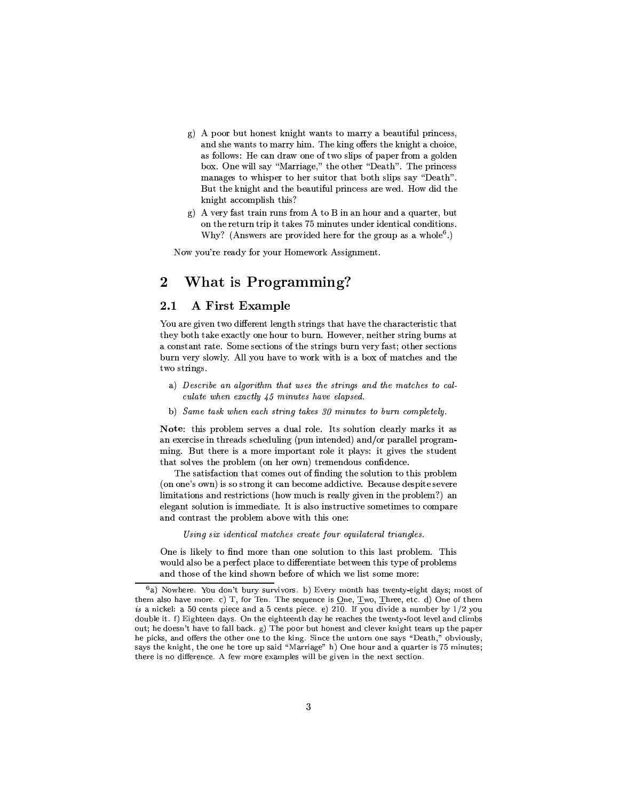- g) A poor but honest knight wants to marry a beautiful princess, and she wants to marry him. The king offers the knight a choice, as follows: He can draw one of two slips of paper from a golden box. One will say "Marriage," the other "Death". The princess manages to whisper to her suitor that both slips say "Death". But the knight and the beautiful princess are wed. How did the knight accomplish this?
- g) A very fast train runs from A to B in an hour and a quarter, but on the return trip it takes 75 minutes under identical conditions. Why? (Answers are provided here for the group as a whole<sup>6</sup>.)

Now you're ready for your Homework Assignment.

### What is Programming?  $\bf{2}$

#### **A First Example**  $2.1$

You are given two different length strings that have the characteristic that they both take exactly one hour to burn. However, neither string burns at a constant rate. Some sections of the strings burn very fast; other sections burn very slowly. All you have to work with is a box of matches and the two strings.

- a) Describe an algorithm that uses the strings and the matches to calculate when exactly 45 minutes have elapsed.
- b) Same task when each string takes 30 minutes to burn completely.

Note: this problem serves a dual role. Its solution clearly marks it as an exercise in threads scheduling (pun intended) and/or parallel programming. But there is a more important role it plays: it gives the student that solves the problem (on her own) tremendous confidence.

The satisfaction that comes out of finding the solution to this problem (on one's own) is so strong it can become addictive. Because despite severe limitations and restrictions (how much is really given in the problem?) an elegant solution is immediate. It is also instructive sometimes to compare and contrast the problem above with this one:

Using six identical matches create four equilateral triangles.

One is likely to find more than one solution to this last problem. This would also be a perfect place to differentiate between this type of problems and those of the kind shown before of which we list some more:

 $6a)$  Nowhere. You don't bury survivors. b) Every month has twenty-eight days; most of them also have more. c) T, for Ten. The sequence is <u>O</u>ne, <u>T</u>wo, <u>T</u>hree, etc. d) One of them is a nickel: a 50 cents piece and a 5 cents piece. e) 210. If you divide a number by  $1/2$  you double it. f) Eighteen days. On the eighteenth day he reaches the twenty-foot level and climbs out; he doesn't have to fall back. g) The poor but honest and clever knight tears up the paper he picks, and offers the other one to the king. Since the untorn one says "Death," obviously, says the knight, the one he tore up said "Marriage" h) One hour and a quarter is 75 minutes; there is no difference. A few more examples will be given in the next section.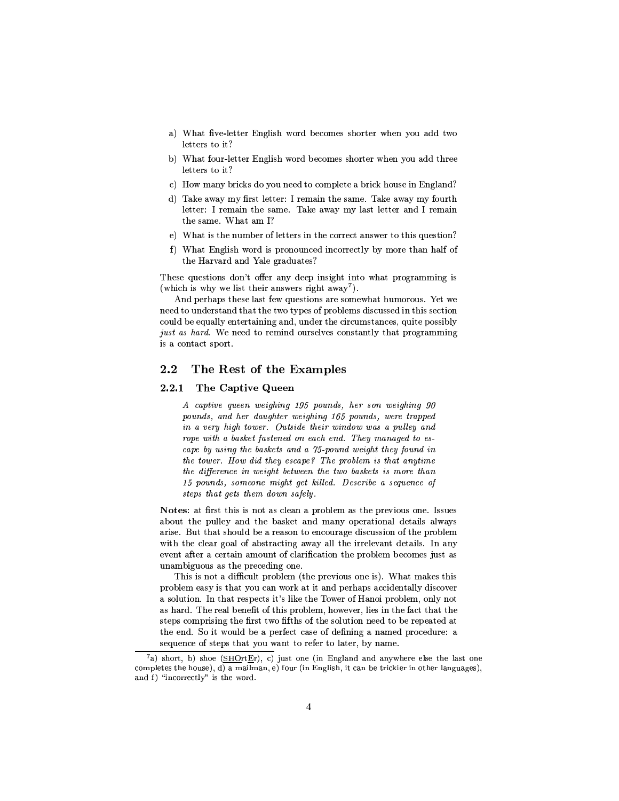- a) What five-letter English word becomes shorter when you add two letters to it?
- b) What four-letter English word becomes shorter when you add three letters to it?
- c) How many bricks do you need to complete a brick house in England?
- d) Take away my first letter: I remain the same. Take away my fourth letter: I remain the same. Take away my last letter and I remain the same. What am I?
- e) What is the number of letters in the correct answer to this question?
- f) What English word is pronounced incorrectly by more than half of the Harvard and Yale graduates?

 $\mathcal{F}$  to 3YT  $\mathcal{F}$  absolved  $\mathcal{F}$  absolved  $\mathcal{F}$  absolved  $\mathcal{F}$ (which is why we list their answers right away<sup>7</sup>).

And perhaps these last few questions are somewhat humorous. Yet we need to understand that the two types of problems discussed in this section could be equally entertaining and, under the circumstances, quite possibly just as hard. We need to remind ourselves constantly that programming is a contact sport.

#### $2.2$ The Rest of the Examples

#### $2.2.1$ The Captive Queen

ð Û\_ÈÑ6ÌÜËÙ8ÏÕFlÕ6Ï\_ÏÎ ÚÏËZàÍ¡ËÎràòñ?ó?«ÑjÓ8Õ¡Î%É#Ð×Í6ÏÒ<ÐÓ8Î ÚÏËZàÍrËΡàIó® pounds, and her daughter weighing 165 pounds, were trapped Éïdekoù ivez ivez ivez eo hann ar an den e hann ar an den e hann ar an den e hann ar an den e hann ar an den e rope with a basket fastened on each end. They managed to escape by using the baskets and a 75-pound weight they found in ÌÍ6ÏHÌÓ#Ú/ÏÒRáøoÓ8Ú É8ËÜÉÌÍ6ÏÖÏÐÛ\_ÈÑ3ÏùöÍ6ÏeÑ6ÒhÓKØRÔZÏÊ ËÐqÌÍ3È#ÌeÈ8Î6Ö#ÌÜËÊÏ the difference in weight between the two baskets is more than ñ?«ÑjÓ8Õ¡Î%É8Ð\_×oÐÓ8ÊÏhÓ8Î%Ï{ÊaËZàÍrÌàrÏÌß#ËÜÔÔZÏhÉrá ©ÏÐÛlÒËÝØÏÈÐlÏ!FlÕ6ÏÎ%ÛÏ?ÓIä ini över ein alla soi över ein alla soi över ein alla soi över ein alla soi över ein alla soi över ein alla so

 $\bullet$  as a finite  $\bullet$  . The internal formulation  $\bullet$  is  $\bullet$  that  $\bullet$ about the pulley and the basket and many operational details always arise. But that should be a reason to encourage discussion of the problem with the clear goal of abstracting away all the irrelevant details. In any event after a certain amount of clarification the problem becomes just as unambiguous as the preceding one.

This is not a difficult problem (the previous one is). What makes this problem easy is that you can work at it and perhaps accidentally discover [\Ib#Xdsj]hxZb+t"n
tw]\_fv[#]\$^hYT\Ig%YT]\\$xz]T~ \(XZxZKY]\_f6YbTm/Yl^b8)Uq[#t6b#xg6^hb+ijXZYRkrb+tjXz`wt6b#] as hard. The real benefit of this problem, however, lies in the fact that the steps comprising the first two fifths of the solution need to be repeated at the end. So it would be a perfect case of defining a named procedure: a sequence of steps that you want to refer to later, by name.

Ø ù³ý¶KõTòþó³ý¶Kõ#öbü 6ýñòþºò
³hó¾³ûüKýþõTø+öbüøºø+÷TúzùRø?<ùRø<ùRø¸6µÀ¶Kö\_òöwöú ýöaþ¶KöyúzùRýþõTø+ö completes the house), d) a mailman, e) four (in English, it can be trickier in other languages), ùRø?×!³\Ïø?¾\_õTò-òö¾\_þú¸6Ñ ý þ¶Köcµ õTò2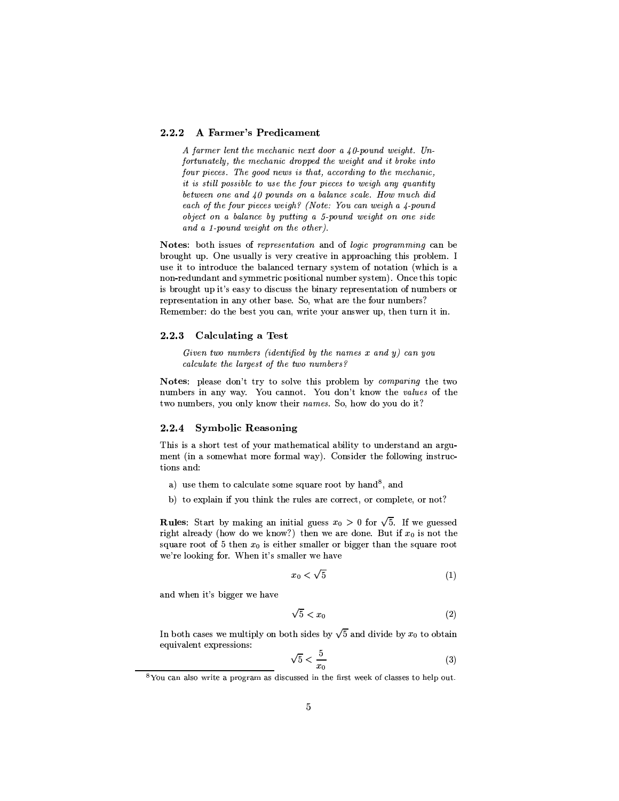#### A Farmer's Predicament  $2.2.2$

A farmer lent the mechanic next door a  $40$ -pound weight. Unfortunately, the mechanic dropped the weight and it broke into four pieces. The good news is that, according to the mechanic, it is still possible to use the four pieces to weigh any quantity between one and 40 pounds on a balance scale. How much did each of the four pieces weigh? (Note: You can weigh a 4-pound object on a balance by putting a 5-pound weight on one side and a 1-pound weight on the other).

Notes: both issues of representation and of logic programming can be brought up. One usually is very creative in approaching this problem. I use it to introduce the balanced ternary system of notation (which is a non-redundant and symmetric positional number system). Once this topic is brought up it's easy to discuss the binary representation of numbers or representation in any other base. So, what are the four numbers? Remember: do the best you can, write your answer up, then turn it in.

## 2.2.3 Calculating a Test

Given two numbers (identified by the names  $x$  and  $y$ ) can you calculate the largest of the two numbers?

Notes: please don't try to solve this problem by *comparing* the two numbers in any way. You cannot. You don't know the values of the two numbers, you only know their names. So, how do you do it?

#### $2.2.4$ **Symbolic Reasoning**

This is a short test of your mathematical ability to understand an argument (in a somewhat more formal way). Consider the following instructions and:

- a) use them to calculate some square root by hand<sup>8</sup>, and
- b) to explain if you think the rules are correct, or complete, or not?

**Rules:** Start by making an initial guess  $x_0 > 0$  for  $\sqrt{5}$ . If we guessed right already (how do we know?) then we are done. But if  $x_0$  is not the square root of 5 then  $x_0$  is either smaller or bigger than the square root we're looking for. When it's smaller we have

$$
x_0 < \sqrt{5} \tag{1}
$$

and when it's bigger we have

$$
\sqrt{5} < x_0 \tag{2}
$$

In both cases we multiply on both sides by  $\sqrt{5}$  and divide by  $x_0$  to obtain equivalent expressions:

$$
\sqrt{5} < \frac{5}{x_0} \tag{3}
$$

<sup>&</sup>lt;sup>8</sup>You can also write a program as discussed in the first week of classes to help out.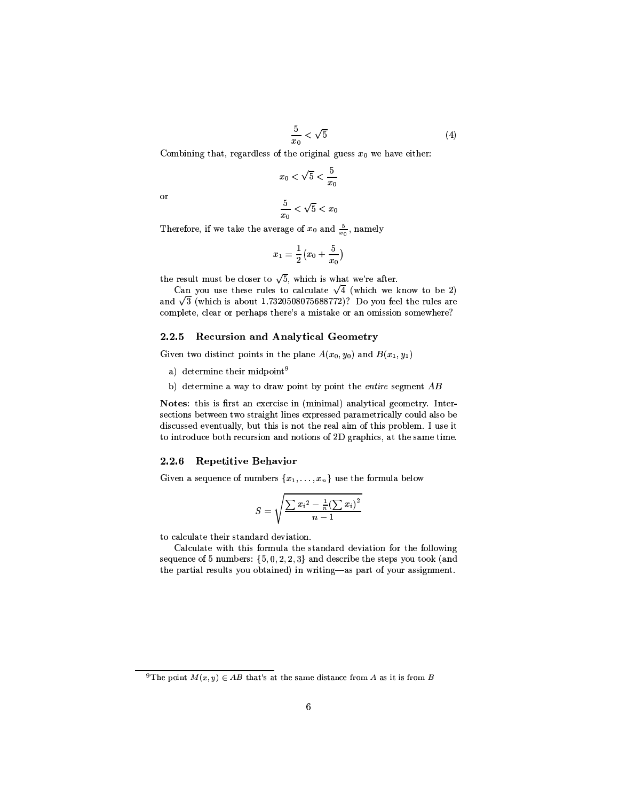$$
\frac{5}{x_0} < \sqrt{5} \tag{4}
$$

Combining that, regardless of the original guess  $x_0$  we have either:

$$
x_0 < \sqrt{5} < \frac{5}{x_0}
$$

or

$$
\frac{5}{x_0} < \sqrt{5} < x_0
$$

Therefore, if we take the average of  $x_0$  and  $\frac{5}{x_0}$ , namely

$$
x_1 = \frac{1}{2} \left( x_0 + \frac{5}{x_0} \right)
$$

the result must be closer to  $\sqrt{5}$ , which is what we're after.

Can you use these rules to calculate  $\sqrt{4}$  (which we know to be 2) and  $\sqrt{3}$  (which is about 1.7320508075688772)? Do you feel the rules are complete, clear or perhaps there's a mistake or an omission somewhere?

# 2.2.5 Recursion and Analytical Geometry

Given two distinct points in the plane  $A(x_0, y_0)$  and  $B(x_1, y_1)$ 

- a) determine their midpoint<sup>9</sup>
- b) determine a way to draw point by point the entire segment  $AB$

Notes: this is first an exercise in (minimal) analytical geometry. Intersections between two straight lines expressed parametrically could also be discussed eventually, but this is not the real aim of this problem. I use it to introduce both recursion and notions of 2D graphics, at the same time.

## 2.2.6 Repetitive Behavior

Given a sequence of numbers  $\{x_1, \ldots, x_n\}$  use the formula below

$$
S = \sqrt{\frac{\sum x_i^2 - \frac{1}{n} (\sum x_i)^2}{n-1}}
$$

to calculate their standard deviation.

Calculate with this formula the standard deviation for the following sequence of 5 numbers:  $\{5, 0, 2, 2, 3\}$  and describe the steps you took (and the partial results you obtained) in writing-as part of your assignment.

<sup>&</sup>lt;sup>9</sup>The point  $M(x, y) \in AB$  that's at the same distance from A as it is from B